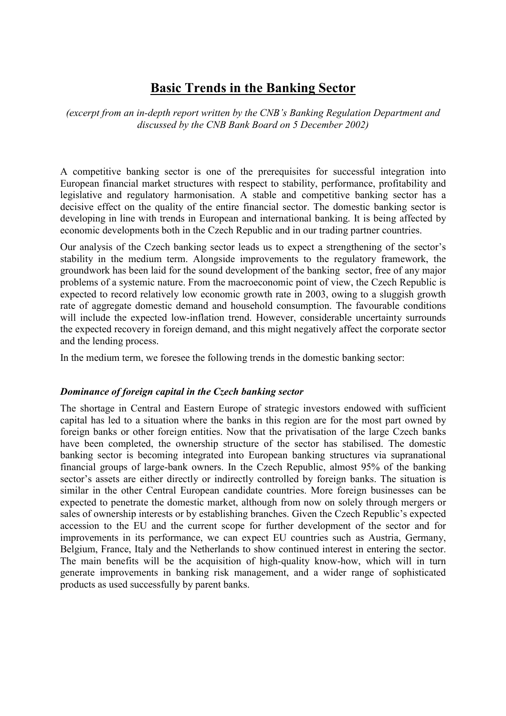# **Basic Trends in the Banking Sector**

*(excerpt from an in-depth report written by the CNB's Banking Regulation Department and discussed by the CNB Bank Board on 5 December 2002)*

A competitive banking sector is one of the prerequisites for successful integration into European financial market structures with respect to stability, performance, profitability and legislative and regulatory harmonisation. A stable and competitive banking sector has a decisive effect on the quality of the entire financial sector. The domestic banking sector is developing in line with trends in European and international banking. It is being affected by economic developments both in the Czech Republic and in our trading partner countries.

Our analysis of the Czech banking sector leads us to expect a strengthening of the sector's stability in the medium term. Alongside improvements to the regulatory framework, the groundwork has been laid for the sound development of the banking sector, free of any major problems of a systemic nature. From the macroeconomic point of view, the Czech Republic is expected to record relatively low economic growth rate in 2003, owing to a sluggish growth rate of aggregate domestic demand and household consumption. The favourable conditions will include the expected low-inflation trend. However, considerable uncertainty surrounds the expected recovery in foreign demand, and this might negatively affect the corporate sector and the lending process.

In the medium term, we foresee the following trends in the domestic banking sector:

#### *Dominance of foreign capital in the Czech banking sector*

The shortage in Central and Eastern Europe of strategic investors endowed with sufficient capital has led to a situation where the banks in this region are for the most part owned by foreign banks or other foreign entities. Now that the privatisation of the large Czech banks have been completed, the ownership structure of the sector has stabilised. The domestic banking sector is becoming integrated into European banking structures via supranational financial groups of large-bank owners. In the Czech Republic, almost 95% of the banking sector's assets are either directly or indirectly controlled by foreign banks. The situation is similar in the other Central European candidate countries. More foreign businesses can be expected to penetrate the domestic market, although from now on solely through mergers or sales of ownership interests or by establishing branches. Given the Czech Republic's expected accession to the EU and the current scope for further development of the sector and for improvements in its performance, we can expect EU countries such as Austria, Germany, Belgium, France, Italy and the Netherlands to show continued interest in entering the sector. The main benefits will be the acquisition of high-quality know-how, which will in turn generate improvements in banking risk management, and a wider range of sophisticated products as used successfully by parent banks.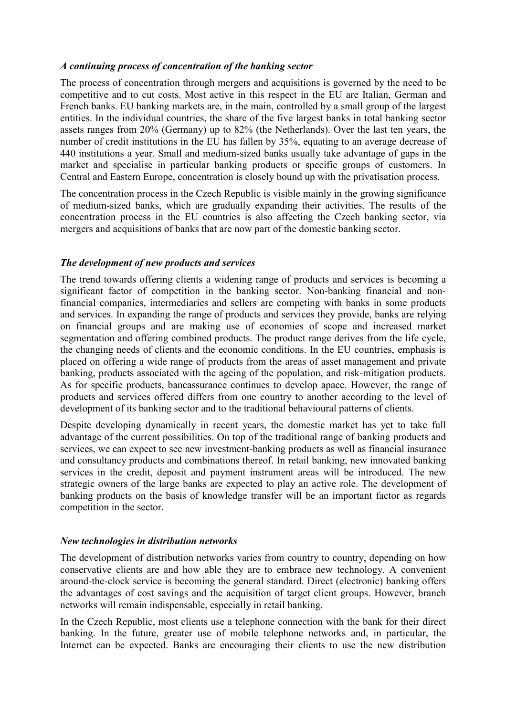## *A continuing process of concentration of the banking sector*

The process of concentration through mergers and acquisitions is governed by the need to be competitive and to cut costs. Most active in this respect in the EU are Italian, German and French banks. EU banking markets are, in the main, controlled by a small group of the largest entities. In the individual countries, the share of the five largest banks in total banking sector assets ranges from 20% (Germany) up to 82% (the Netherlands). Over the last ten years, the number of credit institutions in the EU has fallen by 35%, equating to an average decrease of 440 institutions a year. Small and medium-sized banks usually take advantage of gaps in the market and specialise in particular banking products or specific groups of customers. In Central and Eastern Europe, concentration is closely bound up with the privatisation process.

The concentration process in the Czech Republic is visible mainly in the growing significance of medium-sized banks, which are gradually expanding their activities. The results of the concentration process in the EU countries is also affecting the Czech banking sector, via mergers and acquisitions of banks that are now part of the domestic banking sector.

## *The development of new products and services*

The trend towards offering clients a widening range of products and services is becoming a significant factor of competition in the banking sector. Non-banking financial and nonfinancial companies, intermediaries and sellers are competing with banks in some products and services. In expanding the range of products and services they provide, banks are relying on financial groups and are making use of economies of scope and increased market segmentation and offering combined products. The product range derives from the life cycle, the changing needs of clients and the economic conditions. In the EU countries, emphasis is placed on offering a wide range of products from the areas of asset management and private banking, products associated with the ageing of the population, and risk-mitigation products. As for specific products, bancassurance continues to develop apace. However, the range of products and services offered differs from one country to another according to the level of development of its banking sector and to the traditional behavioural patterns of clients.

Despite developing dynamically in recent years, the domestic market has yet to take full advantage of the current possibilities. On top of the traditional range of banking products and services, we can expect to see new investment-banking products as well as financial insurance and consultancy products and combinations thereof. In retail banking, new innovated banking services in the credit, deposit and payment instrument areas will be introduced. The new strategic owners of the large banks are expected to play an active role. The development of banking products on the basis of knowledge transfer will be an important factor as regards competition in the sector.

#### *New technologies in distribution networks*

The development of distribution networks varies from country to country, depending on how conservative clients are and how able they are to embrace new technology. A convenient around-the-clock service is becoming the general standard. Direct (electronic) banking offers the advantages of cost savings and the acquisition of target client groups. However, branch networks will remain indispensable, especially in retail banking.

In the Czech Republic, most clients use a telephone connection with the bank for their direct banking. In the future, greater use of mobile telephone networks and, in particular, the Internet can be expected. Banks are encouraging their clients to use the new distribution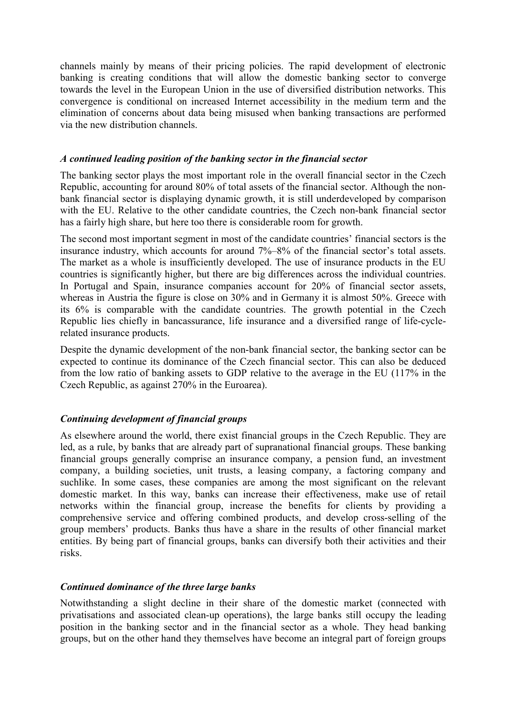channels mainly by means of their pricing policies. The rapid development of electronic banking is creating conditions that will allow the domestic banking sector to converge towards the level in the European Union in the use of diversified distribution networks. This convergence is conditional on increased Internet accessibility in the medium term and the elimination of concerns about data being misused when banking transactions are performed via the new distribution channels.

#### *A continued leading position of the banking sector in the financial sector*

The banking sector plays the most important role in the overall financial sector in the Czech Republic, accounting for around 80% of total assets of the financial sector. Although the nonbank financial sector is displaying dynamic growth, it is still underdeveloped by comparison with the EU. Relative to the other candidate countries, the Czech non-bank financial sector has a fairly high share, but here too there is considerable room for growth.

The second most important segment in most of the candidate countries' financial sectors is the insurance industry, which accounts for around 7%–8% of the financial sector's total assets. The market as a whole is insufficiently developed. The use of insurance products in the EU countries is significantly higher, but there are big differences across the individual countries. In Portugal and Spain, insurance companies account for 20% of financial sector assets, whereas in Austria the figure is close on 30% and in Germany it is almost 50%. Greece with its 6% is comparable with the candidate countries. The growth potential in the Czech Republic lies chiefly in bancassurance, life insurance and a diversified range of life-cyclerelated insurance products.

Despite the dynamic development of the non-bank financial sector, the banking sector can be expected to continue its dominance of the Czech financial sector. This can also be deduced from the low ratio of banking assets to GDP relative to the average in the EU (117% in the Czech Republic, as against 270% in the Euroarea).

# *Continuing development of financial groups*

As elsewhere around the world, there exist financial groups in the Czech Republic. They are led, as a rule, by banks that are already part of supranational financial groups. These banking financial groups generally comprise an insurance company, a pension fund, an investment company, a building societies, unit trusts, a leasing company, a factoring company and suchlike. In some cases, these companies are among the most significant on the relevant domestic market. In this way, banks can increase their effectiveness, make use of retail networks within the financial group, increase the benefits for clients by providing a comprehensive service and offering combined products, and develop cross-selling of the group members' products. Banks thus have a share in the results of other financial market entities. By being part of financial groups, banks can diversify both their activities and their risks.

# *Continued dominance of the three large banks*

Notwithstanding a slight decline in their share of the domestic market (connected with privatisations and associated clean-up operations), the large banks still occupy the leading position in the banking sector and in the financial sector as a whole. They head banking groups, but on the other hand they themselves have become an integral part of foreign groups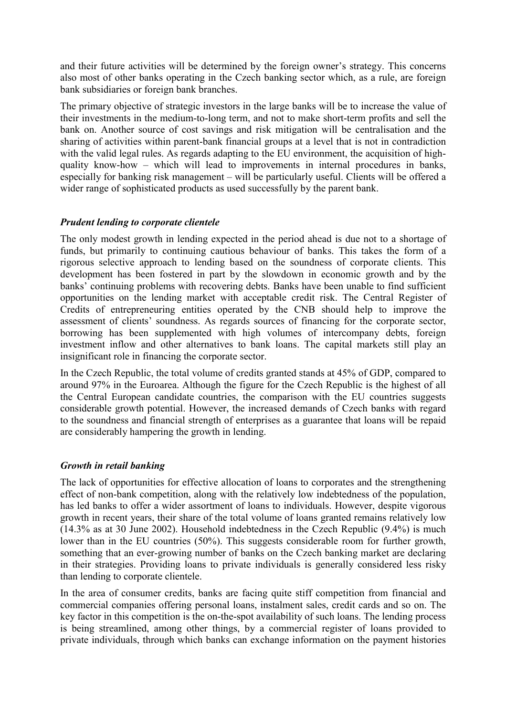and their future activities will be determined by the foreign owner's strategy. This concerns also most of other banks operating in the Czech banking sector which, as a rule, are foreign bank subsidiaries or foreign bank branches.

The primary objective of strategic investors in the large banks will be to increase the value of their investments in the medium-to-long term, and not to make short-term profits and sell the bank on. Another source of cost savings and risk mitigation will be centralisation and the sharing of activities within parent-bank financial groups at a level that is not in contradiction with the valid legal rules. As regards adapting to the EU environment, the acquisition of highquality know-how – which will lead to improvements in internal procedures in banks, especially for banking risk management – will be particularly useful. Clients will be offered a wider range of sophisticated products as used successfully by the parent bank.

## *Prudent lending to corporate clientele*

The only modest growth in lending expected in the period ahead is due not to a shortage of funds, but primarily to continuing cautious behaviour of banks. This takes the form of a rigorous selective approach to lending based on the soundness of corporate clients. This development has been fostered in part by the slowdown in economic growth and by the banks' continuing problems with recovering debts. Banks have been unable to find sufficient opportunities on the lending market with acceptable credit risk. The Central Register of Credits of entrepreneuring entities operated by the CNB should help to improve the assessment of clients' soundness. As regards sources of financing for the corporate sector, borrowing has been supplemented with high volumes of intercompany debts, foreign investment inflow and other alternatives to bank loans. The capital markets still play an insignificant role in financing the corporate sector.

In the Czech Republic, the total volume of credits granted stands at 45% of GDP, compared to around 97% in the Euroarea. Although the figure for the Czech Republic is the highest of all the Central European candidate countries, the comparison with the EU countries suggests considerable growth potential. However, the increased demands of Czech banks with regard to the soundness and financial strength of enterprises as a guarantee that loans will be repaid are considerably hampering the growth in lending.

#### *Growth in retail banking*

The lack of opportunities for effective allocation of loans to corporates and the strengthening effect of non-bank competition, along with the relatively low indebtedness of the population, has led banks to offer a wider assortment of loans to individuals. However, despite vigorous growth in recent years, their share of the total volume of loans granted remains relatively low (14.3% as at 30 June 2002). Household indebtedness in the Czech Republic (9.4%) is much lower than in the EU countries (50%). This suggests considerable room for further growth, something that an ever-growing number of banks on the Czech banking market are declaring in their strategies. Providing loans to private individuals is generally considered less risky than lending to corporate clientele.

In the area of consumer credits, banks are facing quite stiff competition from financial and commercial companies offering personal loans, instalment sales, credit cards and so on. The key factor in this competition is the on-the-spot availability of such loans. The lending process is being streamlined, among other things, by a commercial register of loans provided to private individuals, through which banks can exchange information on the payment histories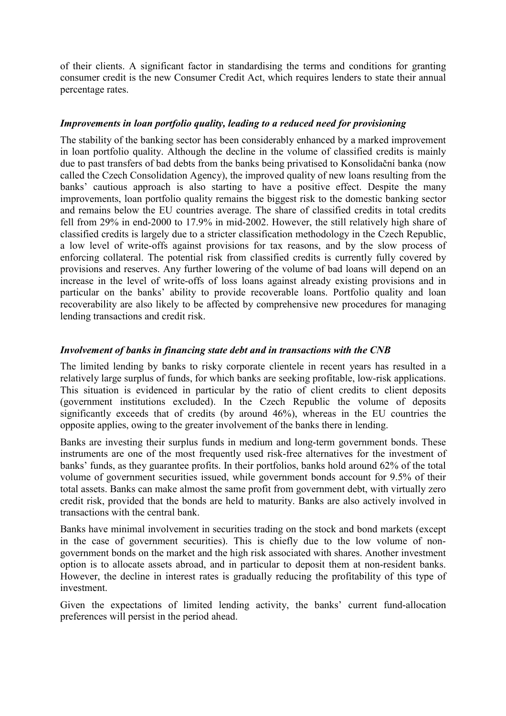of their clients. A significant factor in standardising the terms and conditions for granting consumer credit is the new Consumer Credit Act, which requires lenders to state their annual percentage rates.

## *Improvements in loan portfolio quality, leading to a reduced need for provisioning*

The stability of the banking sector has been considerably enhanced by a marked improvement in loan portfolio quality. Although the decline in the volume of classified credits is mainly due to past transfers of bad debts from the banks being privatised to Konsolidační banka (now called the Czech Consolidation Agency), the improved quality of new loans resulting from the banks' cautious approach is also starting to have a positive effect. Despite the many improvements, loan portfolio quality remains the biggest risk to the domestic banking sector and remains below the EU countries average. The share of classified credits in total credits fell from 29% in end-2000 to 17.9% in mid-2002. However, the still relatively high share of classified credits is largely due to a stricter classification methodology in the Czech Republic, a low level of write-offs against provisions for tax reasons, and by the slow process of enforcing collateral. The potential risk from classified credits is currently fully covered by provisions and reserves. Any further lowering of the volume of bad loans will depend on an increase in the level of write-offs of loss loans against already existing provisions and in particular on the banks' ability to provide recoverable loans. Portfolio quality and loan recoverability are also likely to be affected by comprehensive new procedures for managing lending transactions and credit risk.

## *Involvement of banks in financing state debt and in transactions with the CNB*

The limited lending by banks to risky corporate clientele in recent years has resulted in a relatively large surplus of funds, for which banks are seeking profitable, low-risk applications. This situation is evidenced in particular by the ratio of client credits to client deposits (government institutions excluded). In the Czech Republic the volume of deposits significantly exceeds that of credits (by around 46%), whereas in the EU countries the opposite applies, owing to the greater involvement of the banks there in lending.

Banks are investing their surplus funds in medium and long-term government bonds. These instruments are one of the most frequently used risk-free alternatives for the investment of banks' funds, as they guarantee profits. In their portfolios, banks hold around 62% of the total volume of government securities issued, while government bonds account for 9.5% of their total assets. Banks can make almost the same profit from government debt, with virtually zero credit risk, provided that the bonds are held to maturity. Banks are also actively involved in transactions with the central bank.

Banks have minimal involvement in securities trading on the stock and bond markets (except in the case of government securities). This is chiefly due to the low volume of nongovernment bonds on the market and the high risk associated with shares. Another investment option is to allocate assets abroad, and in particular to deposit them at non-resident banks. However, the decline in interest rates is gradually reducing the profitability of this type of investment.

Given the expectations of limited lending activity, the banks' current fund-allocation preferences will persist in the period ahead.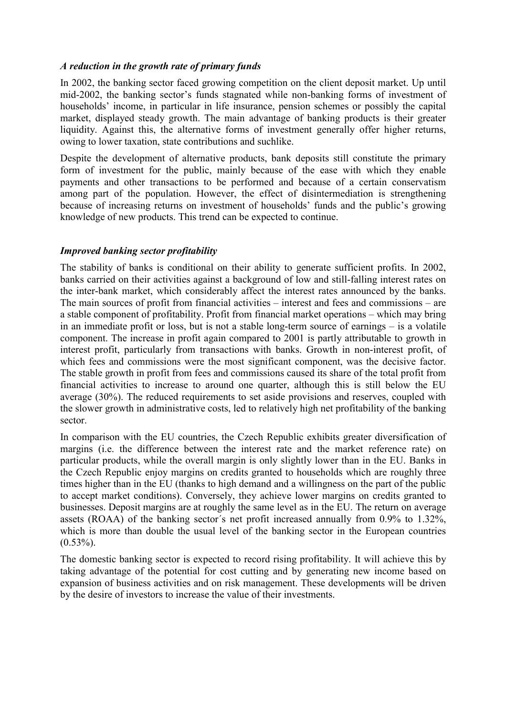## *A reduction in the growth rate of primary funds*

In 2002, the banking sector faced growing competition on the client deposit market. Up until mid-2002, the banking sector's funds stagnated while non-banking forms of investment of households' income, in particular in life insurance, pension schemes or possibly the capital market, displayed steady growth. The main advantage of banking products is their greater liquidity. Against this, the alternative forms of investment generally offer higher returns, owing to lower taxation, state contributions and suchlike.

Despite the development of alternative products, bank deposits still constitute the primary form of investment for the public, mainly because of the ease with which they enable payments and other transactions to be performed and because of a certain conservatism among part of the population. However, the effect of disintermediation is strengthening because of increasing returns on investment of households' funds and the public's growing knowledge of new products. This trend can be expected to continue.

# *Improved banking sector profitability*

The stability of banks is conditional on their ability to generate sufficient profits. In 2002, banks carried on their activities against a background of low and still-falling interest rates on the inter-bank market, which considerably affect the interest rates announced by the banks. The main sources of profit from financial activities – interest and fees and commissions – are a stable component of profitability. Profit from financial market operations – which may bring in an immediate profit or loss, but is not a stable long-term source of earnings – is a volatile component. The increase in profit again compared to 2001 is partly attributable to growth in interest profit, particularly from transactions with banks. Growth in non-interest profit, of which fees and commissions were the most significant component, was the decisive factor. The stable growth in profit from fees and commissions caused its share of the total profit from financial activities to increase to around one quarter, although this is still below the EU average (30%). The reduced requirements to set aside provisions and reserves, coupled with the slower growth in administrative costs, led to relatively high net profitability of the banking sector.

In comparison with the EU countries, the Czech Republic exhibits greater diversification of margins (i.e. the difference between the interest rate and the market reference rate) on particular products, while the overall margin is only slightly lower than in the EU. Banks in the Czech Republic enjoy margins on credits granted to households which are roughly three times higher than in the EU (thanks to high demand and a willingness on the part of the public to accept market conditions). Conversely, they achieve lower margins on credits granted to businesses. Deposit margins are at roughly the same level as in the EU. The return on average assets (ROAA) of the banking sector´s net profit increased annually from 0.9% to 1.32%, which is more than double the usual level of the banking sector in the European countries  $(0.53\%)$ .

The domestic banking sector is expected to record rising profitability. It will achieve this by taking advantage of the potential for cost cutting and by generating new income based on expansion of business activities and on risk management. These developments will be driven by the desire of investors to increase the value of their investments.